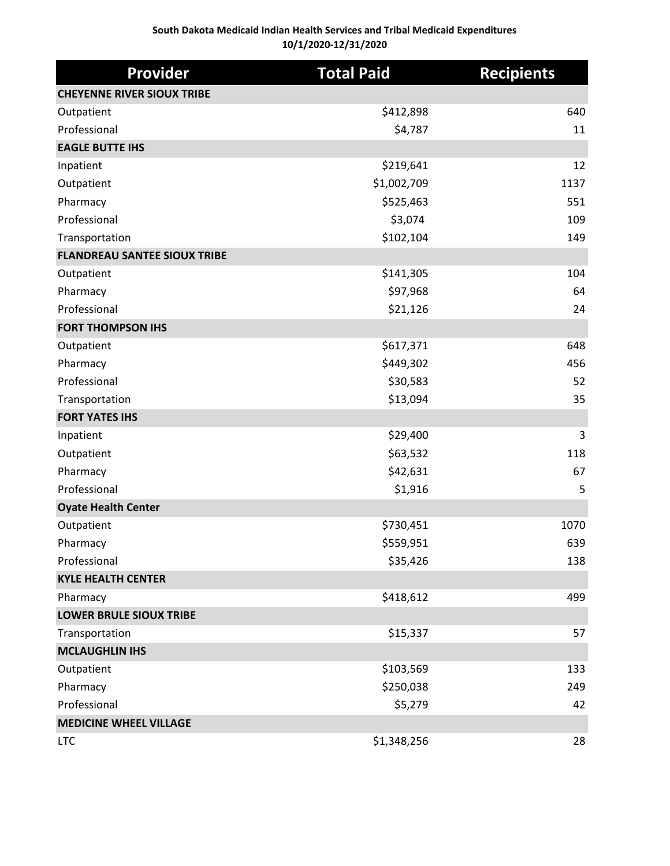### **South Dakota Medicaid Indian Health Services and Tribal Medicaid Expenditures 10/1/2020-12/31/2020**

| Provider                            | <b>Total Paid</b> | <b>Recipients</b> |
|-------------------------------------|-------------------|-------------------|
| <b>CHEYENNE RIVER SIOUX TRIBE</b>   |                   |                   |
| Outpatient                          | \$412,898         | 640               |
| Professional                        | \$4,787           | 11                |
| <b>EAGLE BUTTE IHS</b>              |                   |                   |
| Inpatient                           | \$219,641         | 12                |
| Outpatient                          | \$1,002,709       | 1137              |
| Pharmacy                            | \$525,463         | 551               |
| Professional                        | \$3,074           | 109               |
| Transportation                      | \$102,104         | 149               |
| <b>FLANDREAU SANTEE SIOUX TRIBE</b> |                   |                   |
| Outpatient                          | \$141,305         | 104               |
| Pharmacy                            | \$97,968          | 64                |
| Professional                        | \$21,126          | 24                |
| <b>FORT THOMPSON IHS</b>            |                   |                   |
| Outpatient                          | \$617,371         | 648               |
| Pharmacy                            | \$449,302         | 456               |
| Professional                        | \$30,583          | 52                |
| Transportation                      | \$13,094          | 35                |
| <b>FORT YATES IHS</b>               |                   |                   |
| Inpatient                           | \$29,400          | 3                 |
| Outpatient                          | \$63,532          | 118               |
| Pharmacy                            | \$42,631          | 67                |
| Professional                        | \$1,916           | 5                 |
| <b>Oyate Health Center</b>          |                   |                   |
| Outpatient                          | \$730,451         | 1070              |
| Pharmacy                            | \$559,951         | 639               |
| Professional                        | \$35,426          | 138               |
| <b>KYLE HEALTH CENTER</b>           |                   |                   |
| Pharmacy                            | \$418,612         | 499               |
| <b>LOWER BRULE SIOUX TRIBE</b>      |                   |                   |
| Transportation                      | \$15,337          | 57                |
| <b>MCLAUGHLIN IHS</b>               |                   |                   |
| Outpatient                          | \$103,569         | 133               |
| Pharmacy                            | \$250,038         | 249               |
| Professional                        | \$5,279           | 42                |
| <b>MEDICINE WHEEL VILLAGE</b>       |                   |                   |
| <b>LTC</b>                          | \$1,348,256       | 28                |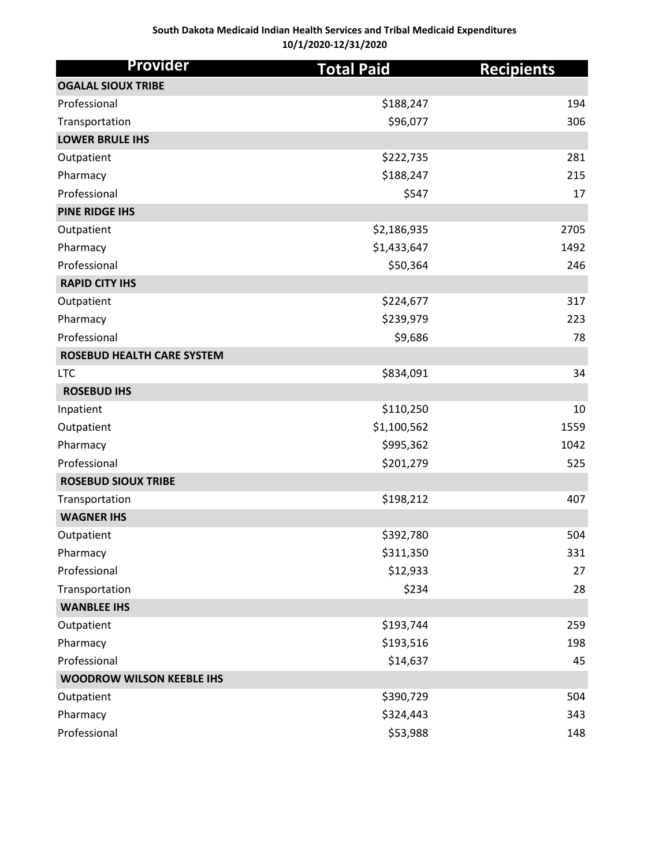### **South Dakota Medicaid Indian Health Services and Tribal Medicaid Expenditures 10/1/2020-12/31/2020**

| <b>Provider</b>                   | <b>Total Paid</b> | <b>Recipients</b> |
|-----------------------------------|-------------------|-------------------|
| <b>OGALAL SIOUX TRIBE</b>         |                   |                   |
| Professional                      | \$188,247         | 194               |
| Transportation                    | \$96,077          | 306               |
| <b>LOWER BRULE IHS</b>            |                   |                   |
| Outpatient                        | \$222,735         | 281               |
| Pharmacy                          | \$188,247         | 215               |
| Professional                      | \$547             | 17                |
| <b>PINE RIDGE IHS</b>             |                   |                   |
| Outpatient                        | \$2,186,935       | 2705              |
| Pharmacy                          | \$1,433,647       | 1492              |
| Professional                      | \$50,364          | 246               |
| <b>RAPID CITY IHS</b>             |                   |                   |
| Outpatient                        | \$224,677         | 317               |
| Pharmacy                          | \$239,979         | 223               |
| Professional                      | \$9,686           | 78                |
| <b>ROSEBUD HEALTH CARE SYSTEM</b> |                   |                   |
| <b>LTC</b>                        | \$834,091         | 34                |
| <b>ROSEBUD IHS</b>                |                   |                   |
| Inpatient                         | \$110,250         | 10                |
| Outpatient                        | \$1,100,562       | 1559              |
| Pharmacy                          | \$995,362         | 1042              |
| Professional                      | \$201,279         | 525               |
| <b>ROSEBUD SIOUX TRIBE</b>        |                   |                   |
| Transportation                    | \$198,212         | 407               |
| <b>WAGNER IHS</b>                 |                   |                   |
| Outpatient                        | \$392,780         | 504               |
| Pharmacy                          | \$311,350         | 331               |
| Professional                      | \$12,933          | 27                |
| Transportation                    | \$234             | 28                |
| <b>WANBLEE IHS</b>                |                   |                   |
| Outpatient                        | \$193,744         | 259               |
| Pharmacy                          | \$193,516         | 198               |
| Professional                      | \$14,637          | 45                |
| <b>WOODROW WILSON KEEBLE IHS</b>  |                   |                   |
| Outpatient                        | \$390,729         | 504               |
| Pharmacy                          | \$324,443         | 343               |
| Professional                      | \$53,988          | 148               |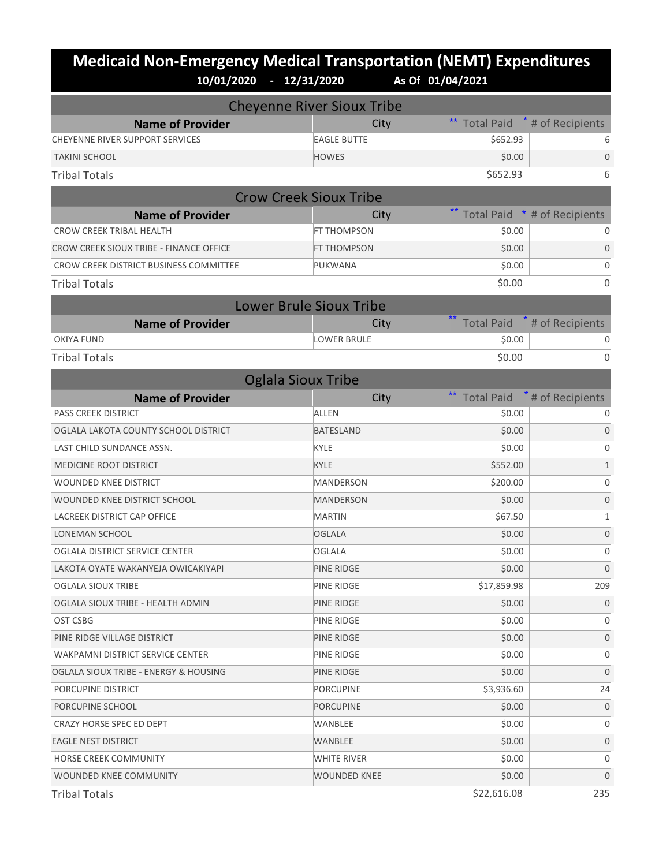### **Medicaid Non-Emergency Medical Transportation (NEMT) Expenditures 10/01/2020 - 12/31/2020 As Of 01/04/2021**

| <b>Cheyenne River Sioux Tribe</b>       |                                |                   |                              |
|-----------------------------------------|--------------------------------|-------------------|------------------------------|
| <b>Name of Provider</b>                 | City                           | <b>Total Paid</b> | <sup>*</sup> # of Recipients |
| CHEYENNE RIVER SUPPORT SERVICES         | <b>EAGLE BUTTE</b>             | \$652.93          |                              |
| <b>TAKINI SCHOOL</b>                    | <b>HOWES</b>                   | \$0.00            | $\mathbf 0$                  |
| <b>Tribal Totals</b>                    |                                | \$652.93          | 6                            |
|                                         | <b>Crow Creek Sioux Tribe</b>  |                   |                              |
| <b>Name of Provider</b>                 | City                           |                   | Total Paid * # of Recipients |
| <b>CROW CREEK TRIBAL HEALTH</b>         | FT THOMPSON                    | \$0.00            |                              |
| CROW CREEK SIOUX TRIBE - FINANCE OFFICE | FT THOMPSON                    | \$0.00            | $\mathbf 0$                  |
| CROW CREEK DISTRICT BUSINESS COMMITTEE  | PUKWANA                        | \$0.00            | 0                            |
| <b>Tribal Totals</b>                    |                                | \$0.00            | 0                            |
|                                         | <b>Lower Brule Sioux Tribe</b> |                   |                              |
| <b>Name of Provider</b>                 | City                           | <b>Total Paid</b> | $*$ # of Recipients          |
| <b>OKIYA FUND</b>                       | <b>LOWER BRULE</b>             | \$0.00            | 0                            |
| <b>Tribal Totals</b>                    |                                | \$0.00            | 0                            |
|                                         | <b>Oglala Sioux Tribe</b>      |                   |                              |
| <b>Name of Provider</b>                 | City                           | <b>Total Paid</b> | * # of Recipients            |
| <b>PASS CREEK DISTRICT</b>              | <b>ALLEN</b>                   | \$0.00            | 0                            |
| OGLALA LAKOTA COUNTY SCHOOL DISTRICT    | <b>BATESLAND</b>               | \$0.00            | $\mathbf 0$                  |
| LAST CHILD SUNDANCE ASSN.               | <b>KYLE</b>                    | \$0.00            | 0                            |
| <b>MEDICINE ROOT DISTRICT</b>           | <b>KYLE</b>                    | \$552.00          | $\mathbf{1}$                 |
| WOUNDED KNEE DISTRICT                   | <b>MANDERSON</b>               | \$200.00          | 0                            |
| WOUNDED KNEE DISTRICT SCHOOL            | <b>MANDERSON</b>               | \$0.00            | $\mathbf 0$                  |
| LACREEK DISTRICT CAP OFFICE             | <b>MARTIN</b>                  | \$67.50           | $\mathbf{1}$                 |
| LONEMAN SCHOOL                          | OGLALA                         | \$0.00            | $\mathbf 0$                  |
| OGLALA DISTRICT SERVICE CENTER          | <b>OGLALA</b>                  | \$0.00            | 0                            |
| LAKOTA OYATE WAKANYEJA OWICAKIYAPI      | PINE RIDGE                     | \$0.00            | $\mathbf 0$                  |
| <b>OGLALA SIOUX TRIBE</b>               | <b>PINE RIDGE</b>              | \$17,859.98       | 209                          |
| OGLALA SIOUX TRIBE - HEALTH ADMIN       | PINE RIDGE                     | \$0.00            | $\mathbf 0$                  |
| OST CSBG                                | PINE RIDGE                     | \$0.00            | 0                            |
| PINE RIDGE VILLAGE DISTRICT             | PINE RIDGE                     | \$0.00            | $\mathbf 0$                  |
| WAKPAMNI DISTRICT SERVICE CENTER        | PINE RIDGE                     | \$0.00            | 0                            |
| OGLALA SIOUX TRIBE - ENERGY & HOUSING   | PINE RIDGE                     | \$0.00            | 0                            |
| PORCUPINE DISTRICT                      | PORCUPINE                      | \$3,936.60        | 24                           |
| PORCUPINE SCHOOL                        | <b>PORCUPINE</b>               | \$0.00            | 0                            |
| CRAZY HORSE SPEC ED DEPT                | WANBLEE                        | \$0.00            | 0                            |
| <b>EAGLE NEST DISTRICT</b>              | WANBLEE                        | \$0.00            | 0                            |
| HORSE CREEK COMMUNITY                   | <b>WHITE RIVER</b>             | \$0.00            | 0                            |
| WOUNDED KNEE COMMUNITY                  | <b>WOUNDED KNEE</b>            | \$0.00            | $\overline{0}$               |
| <b>Tribal Totals</b>                    |                                | \$22,616.08       | 235                          |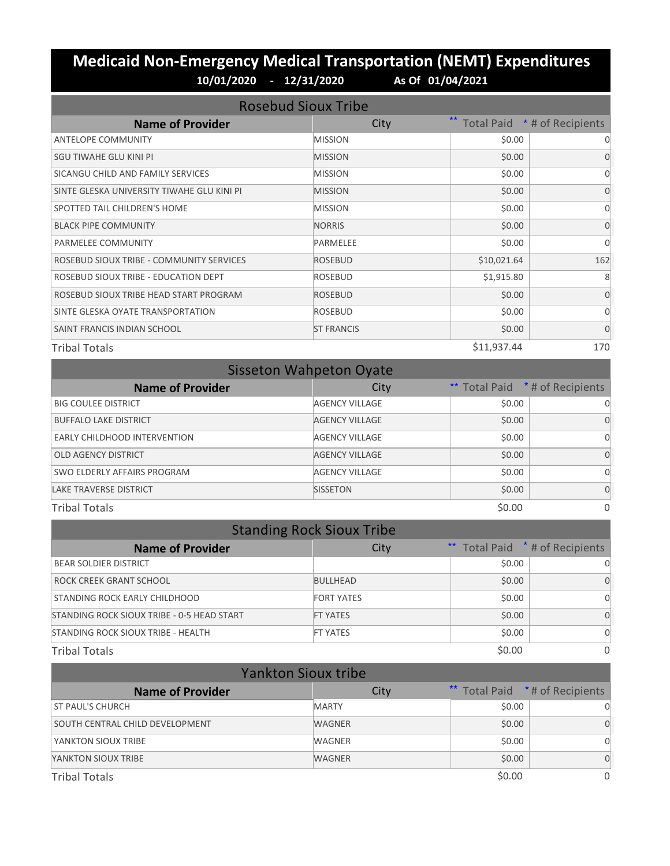# **Medicaid Non-Emergency Medical Transportation (NEMT) Expenditures 10/01/2020 - 12/31/2020 As Of 01/04/2021**

| <b>Rosebud Sioux Tribe</b>                 |                   |             |                              |
|--------------------------------------------|-------------------|-------------|------------------------------|
| <b>Name of Provider</b>                    | City              | $***$       | Total Paid * # of Recipients |
| <b>ANTELOPE COMMUNITY</b>                  | <b>MISSION</b>    | \$0.00      | 0                            |
| SGU TIWAHE GLU KINI PI                     | <b>MISSION</b>    | \$0.00      | $\Omega$                     |
| SICANGU CHILD AND FAMILY SERVICES          | <b>MISSION</b>    | \$0.00      | $\Omega$                     |
| SINTE GLESKA UNIVERSITY TIWAHE GLU KINI PI | <b>MISSION</b>    | \$0.00      | $\Omega$                     |
| SPOTTED TAIL CHILDREN'S HOME               | <b>MISSION</b>    | \$0.00      | $\Omega$                     |
| <b>BLACK PIPE COMMUNITY</b>                | <b>NORRIS</b>     | \$0.00      | $\Omega$                     |
| PARMELEE COMMUNITY                         | PARMELEE          | \$0.00      | $\Omega$                     |
| ROSEBUD SIOUX TRIBE - COMMUNITY SERVICES   | <b>ROSEBUD</b>    | \$10,021.64 | 162                          |
| ROSEBUD SIOUX TRIBE - EDUCATION DEPT       | <b>ROSEBUD</b>    | \$1,915.80  | 8                            |
| ROSEBUD SIOUX TRIBE HEAD START PROGRAM     | <b>ROSEBUD</b>    | \$0.00      | $\Omega$                     |
| SINTE GLESKA OYATE TRANSPORTATION          | <b>ROSEBUD</b>    | \$0.00      | $\Omega$                     |
| SAINT FRANCIS INDIAN SCHOOL                | <b>ST FRANCIS</b> | \$0.00      | $\Omega$                     |
| <b>Tribal Totals</b>                       |                   | \$11,937.44 | 170                          |

| <b>Sisseton Wahpeton Oyate</b> |                       |        |                                 |
|--------------------------------|-----------------------|--------|---------------------------------|
| <b>Name of Provider</b>        | City                  |        | ** Total Paid * # of Recipients |
| <b>BIG COULEE DISTRICT</b>     | <b>AGENCY VILLAGE</b> | \$0.00 |                                 |
| <b>BUFFALO LAKE DISTRICT</b>   | <b>AGENCY VILLAGE</b> | \$0.00 |                                 |
| EARLY CHILDHOOD INTERVENTION   | <b>AGENCY VILLAGE</b> | \$0.00 | $\Omega$                        |
| <b>OLD AGENCY DISTRICT</b>     | <b>AGENCY VILLAGE</b> | \$0.00 | $\Omega$                        |
| SWO ELDERLY AFFAIRS PROGRAM    | <b>AGENCY VILLAGE</b> | \$0.00 |                                 |
| <b>LAKE TRAVERSE DISTRICT</b>  | <b>SISSETON</b>       | \$0.00 | $\Omega$                        |
| <b>Tribal Totals</b>           |                       | \$0.00 | 0                               |

| <b>Standing Rock Sioux Tribe</b>           |                   |        |                                        |
|--------------------------------------------|-------------------|--------|----------------------------------------|
| <b>Name of Provider</b>                    | City              |        | <b>**</b> Total Paid * # of Recipients |
| <b>BEAR SOLDIER DISTRICT</b>               |                   | \$0.00 | $\Omega$                               |
| ROCK CREEK GRANT SCHOOL                    | <b>BULLHEAD</b>   | \$0.00 | $\Omega$                               |
| STANDING ROCK EARLY CHILDHOOD              | <b>FORT YATES</b> | \$0.00 | $\Omega$                               |
| STANDING ROCK SIOUX TRIBE - 0-5 HEAD START | <b>FT YATES</b>   | \$0.00 | $\Omega$                               |
| <b>STANDING ROCK SIOUX TRIBE - HEALTH</b>  | <b>FT YATES</b>   | \$0.00 | $\Omega$                               |
| <b>Tribal Totals</b>                       |                   | \$0.00 | $\Omega$                               |

| <b>Yankton Sioux tribe</b>      |               |        |                                |
|---------------------------------|---------------|--------|--------------------------------|
| <b>Name of Provider</b>         | City          |        | ** Total Paid *# of Recipients |
| <b>ST PAUL'S CHURCH</b>         | <b>MARTY</b>  | \$0.00 | 0                              |
| SOUTH CENTRAL CHILD DEVELOPMENT | <b>WAGNER</b> | \$0.00 | $\Omega$                       |
| YANKTON SIOUX TRIBE             | <b>WAGNER</b> | \$0.00 | 0                              |
| YANKTON SIOUX TRIBE             | <b>WAGNER</b> | \$0.00 | $\Omega$                       |
| <b>Tribal Totals</b>            |               | \$0.00 | $\Omega$                       |